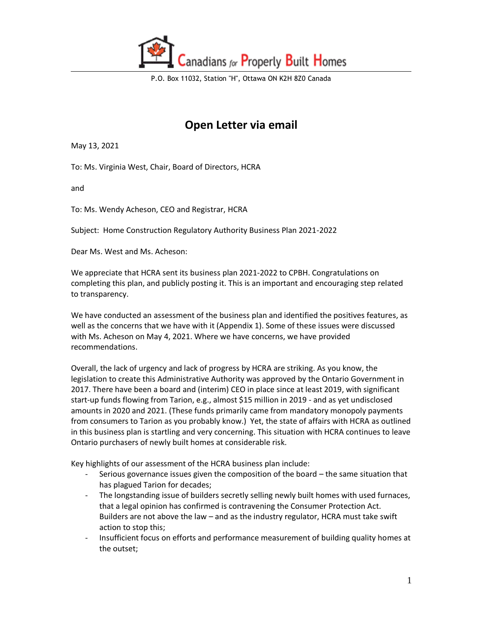

## **Open Letter via email**

May 13, 2021

To: Ms. Virginia West, Chair, Board of Directors, HCRA

and

To: Ms. Wendy Acheson, CEO and Registrar, HCRA

Subject: Home Construction Regulatory Authority Business Plan 2021-2022

Dear Ms. West and Ms. Acheson:

We appreciate that HCRA sent its business plan 2021-2022 to CPBH. Congratulations on completing this plan, and publicly posting it. This is an important and encouraging step related to transparency.

We have conducted an assessment of the business plan and identified the positives features, as well as the concerns that we have with it (Appendix 1). Some of these issues were discussed with Ms. Acheson on May 4, 2021. Where we have concerns, we have provided recommendations.

Overall, the lack of urgency and lack of progress by HCRA are striking. As you know, the legislation to create this Administrative Authority was approved by the Ontario Government in 2017. There have been a board and (interim) CEO in place since at least 2019, with significant start-up funds flowing from Tarion, e.g., almost \$15 million in 2019 - and as yet undisclosed amounts in 2020 and 2021. (These funds primarily came from mandatory monopoly payments from consumers to Tarion as you probably know.) Yet, the state of affairs with HCRA as outlined in this business plan is startling and very concerning. This situation with HCRA continues to leave Ontario purchasers of newly built homes at considerable risk.

Key highlights of our assessment of the HCRA business plan include:

- Serious governance issues given the composition of the board the same situation that has plagued Tarion for decades;
- The longstanding issue of builders secretly selling newly built homes with used furnaces, that a legal opinion has confirmed is contravening the Consumer Protection Act. Builders are not above the law – and as the industry regulator, HCRA must take swift action to stop this;
- Insufficient focus on efforts and performance measurement of building quality homes at the outset;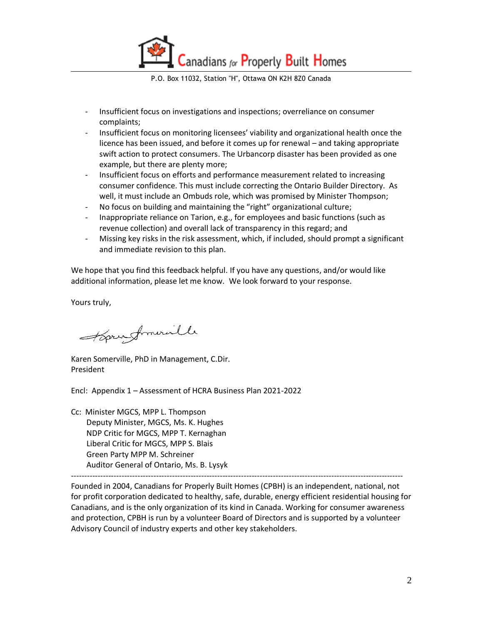Canadians for Properly Built Homes

P.O. Box 11032, Station "H", Ottawa ON K2H 8Z0 Canada

- Insufficient focus on investigations and inspections; overreliance on consumer complaints;
- Insufficient focus on monitoring licensees' viability and organizational health once the licence has been issued, and before it comes up for renewal – and taking appropriate swift action to protect consumers. The Urbancorp disaster has been provided as one example, but there are plenty more;
- Insufficient focus on efforts and performance measurement related to increasing consumer confidence. This must include correcting the Ontario Builder Directory. As well, it must include an Ombuds role, which was promised by Minister Thompson;
- No focus on building and maintaining the "right" organizational culture;
- Inappropriate reliance on Tarion, e.g., for employees and basic functions (such as revenue collection) and overall lack of transparency in this regard; and
- Missing key risks in the risk assessment, which, if included, should prompt a significant and immediate revision to this plan.

We hope that you find this feedback helpful. If you have any questions, and/or would like additional information, please let me know. We look forward to your response.

Yours truly,

Horundmuralle

Karen Somerville, PhD in Management, C.Dir. President

Encl: Appendix 1 – Assessment of HCRA Business Plan 2021-2022

Cc: Minister MGCS, MPP L. Thompson Deputy Minister, MGCS, Ms. K. Hughes NDP Critic for MGCS, MPP T. Kernaghan Liberal Critic for MGCS, MPP S. Blais Green Party MPP M. Schreiner Auditor General of Ontario, Ms. B. Lysyk

----------------------------------------------------------------------------------------------------------------------------- Founded in 2004, Canadians for Properly Built Homes (CPBH) is an independent, national, not for profit corporation dedicated to healthy, safe, durable, energy efficient residential housing for Canadians, and is the only organization of its kind in Canada. Working for consumer awareness and protection, CPBH is run by a volunteer Board of Directors and is supported by a volunteer Advisory Council of industry experts and other key stakeholders.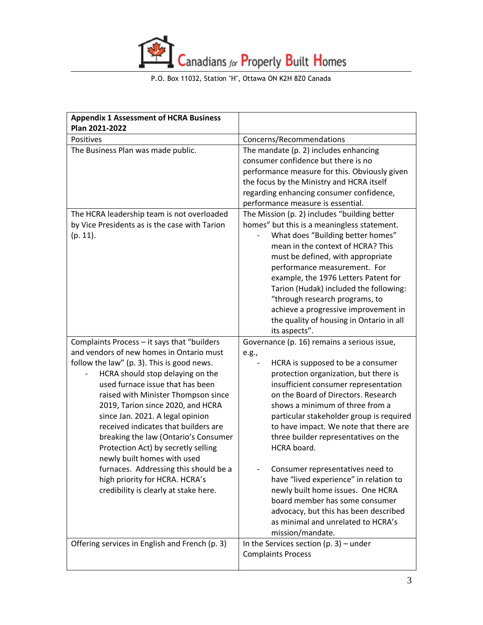

| <b>Appendix 1 Assessment of HCRA Business</b><br>Plan 2021-2022                                                                                                                                                                                                                                                                                                                                                                                                                                                                                                                                         |                                                                                                                                                                                                                                                                                                                                                                                                                                                                                                                                                                                                                                                           |
|---------------------------------------------------------------------------------------------------------------------------------------------------------------------------------------------------------------------------------------------------------------------------------------------------------------------------------------------------------------------------------------------------------------------------------------------------------------------------------------------------------------------------------------------------------------------------------------------------------|-----------------------------------------------------------------------------------------------------------------------------------------------------------------------------------------------------------------------------------------------------------------------------------------------------------------------------------------------------------------------------------------------------------------------------------------------------------------------------------------------------------------------------------------------------------------------------------------------------------------------------------------------------------|
| Positives                                                                                                                                                                                                                                                                                                                                                                                                                                                                                                                                                                                               | Concerns/Recommendations                                                                                                                                                                                                                                                                                                                                                                                                                                                                                                                                                                                                                                  |
| The Business Plan was made public.                                                                                                                                                                                                                                                                                                                                                                                                                                                                                                                                                                      | The mandate (p. 2) includes enhancing<br>consumer confidence but there is no<br>performance measure for this. Obviously given<br>the focus by the Ministry and HCRA itself<br>regarding enhancing consumer confidence,<br>performance measure is essential.                                                                                                                                                                                                                                                                                                                                                                                               |
| The HCRA leadership team is not overloaded<br>by Vice Presidents as is the case with Tarion<br>$(p. 11)$ .                                                                                                                                                                                                                                                                                                                                                                                                                                                                                              | The Mission (p. 2) includes "building better<br>homes" but this is a meaningless statement.<br>What does "Building better homes"<br>mean in the context of HCRA? This<br>must be defined, with appropriate<br>performance measurement. For<br>example, the 1976 Letters Patent for<br>Tarion (Hudak) included the following:<br>"through research programs, to<br>achieve a progressive improvement in<br>the quality of housing in Ontario in all<br>its aspects".                                                                                                                                                                                       |
| Complaints Process - it says that "builders<br>and vendors of new homes in Ontario must<br>follow the law" (p. 3). This is good news.<br>HCRA should stop delaying on the<br>used furnace issue that has been<br>raised with Minister Thompson since<br>2019, Tarion since 2020, and HCRA<br>since Jan. 2021. A legal opinion<br>received indicates that builders are<br>breaking the law (Ontario's Consumer<br>Protection Act) by secretly selling<br>newly built homes with used<br>furnaces. Addressing this should be a<br>high priority for HCRA. HCRA's<br>credibility is clearly at stake here. | Governance (p. 16) remains a serious issue,<br>e.g.,<br>HCRA is supposed to be a consumer<br>protection organization, but there is<br>insufficient consumer representation<br>on the Board of Directors. Research<br>shows a minimum of three from a<br>particular stakeholder group is required<br>to have impact. We note that there are<br>three builder representatives on the<br>HCRA board.<br>Consumer representatives need to<br>have "lived experience" in relation to<br>newly built home issues. One HCRA<br>board member has some consumer<br>advocacy, but this has been described<br>as minimal and unrelated to HCRA's<br>mission/mandate. |
| Offering services in English and French (p. 3)                                                                                                                                                                                                                                                                                                                                                                                                                                                                                                                                                          | In the Services section $(p. 3)$ – under<br><b>Complaints Process</b>                                                                                                                                                                                                                                                                                                                                                                                                                                                                                                                                                                                     |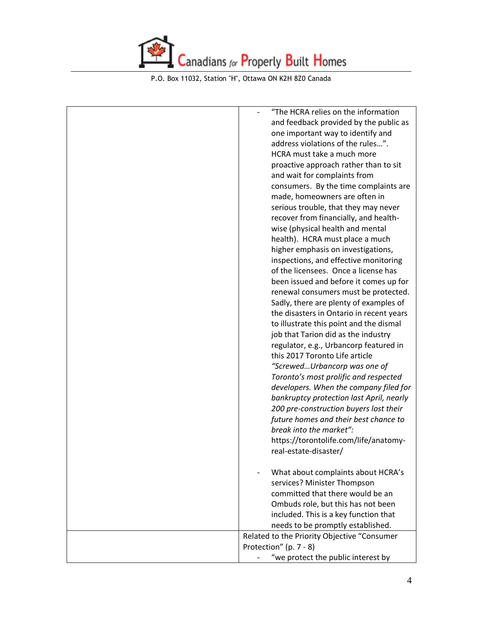

| "The HCRA relies on the information         |
|---------------------------------------------|
| and feedback provided by the public as      |
| one important way to identify and           |
| address violations of the rules".           |
| HCRA must take a much more                  |
| proactive approach rather than to sit       |
| and wait for complaints from                |
| consumers. By the time complaints are       |
| made, homeowners are often in               |
| serious trouble, that they may never        |
| recover from financially, and health-       |
| wise (physical health and mental            |
| health). HCRA must place a much             |
| higher emphasis on investigations,          |
| inspections, and effective monitoring       |
| of the licensees. Once a license has        |
| been issued and before it comes up for      |
| renewal consumers must be protected.        |
| Sadly, there are plenty of examples of      |
| the disasters in Ontario in recent years    |
| to illustrate this point and the dismal     |
| job that Tarion did as the industry         |
| regulator, e.g., Urbancorp featured in      |
| this 2017 Toronto Life article              |
| "ScrewedUrbancorp was one of                |
| Toronto's most prolific and respected       |
| developers. When the company filed for      |
| bankruptcy protection last April, nearly    |
| 200 pre-construction buyers lost their      |
| future homes and their best chance to       |
| break into the market":                     |
| https://torontolife.com/life/anatomy-       |
| real-estate-disaster/                       |
|                                             |
| What about complaints about HCRA's          |
| services? Minister Thompson                 |
| committed that there would be an            |
| Ombuds role, but this has not been          |
| included. This is a key function that       |
| needs to be promptly established.           |
| Related to the Priority Objective "Consumer |
| Protection" (p. 7 - 8)                      |
| "we protect the public interest by          |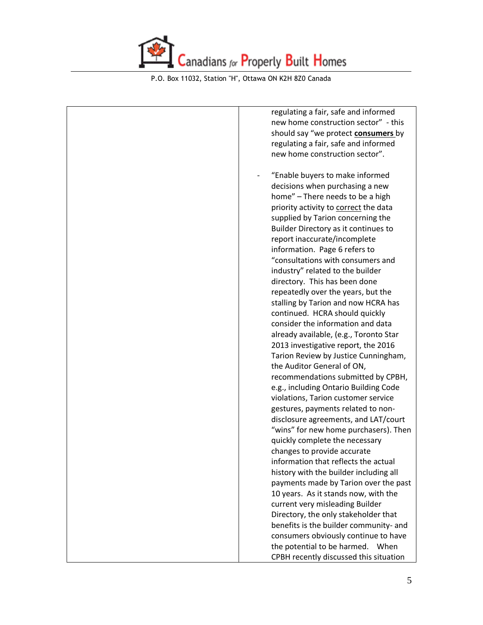

| regulating a fair, safe and informed   |
|----------------------------------------|
| new home construction sector" - this   |
| should say "we protect consumers by    |
| regulating a fair, safe and informed   |
| new home construction sector".         |
|                                        |
| "Enable buyers to make informed        |
| decisions when purchasing a new        |
| home" - There needs to be a high       |
| priority activity to correct the data  |
| supplied by Tarion concerning the      |
| Builder Directory as it continues to   |
| report inaccurate/incomplete           |
| information. Page 6 refers to          |
| "consultations with consumers and      |
| industry" related to the builder       |
| directory. This has been done          |
| repeatedly over the years, but the     |
| stalling by Tarion and now HCRA has    |
| continued. HCRA should quickly         |
| consider the information and data      |
| already available, (e.g., Toronto Star |
| 2013 investigative report, the 2016    |
| Tarion Review by Justice Cunningham,   |
| the Auditor General of ON,             |
| recommendations submitted by CPBH,     |
| e.g., including Ontario Building Code  |
| violations, Tarion customer service    |
| gestures, payments related to non-     |
| disclosure agreements, and LAT/court   |
| "wins" for new home purchasers). Then  |
| quickly complete the necessary         |
| changes to provide accurate            |
| information that reflects the actual   |
| history with the builder including all |
| payments made by Tarion over the past  |
| 10 years. As it stands now, with the   |
| current very misleading Builder        |
| Directory, the only stakeholder that   |
| benefits is the builder community- and |
| consumers obviously continue to have   |
| the potential to be harmed.<br>When    |
| CPBH recently discussed this situation |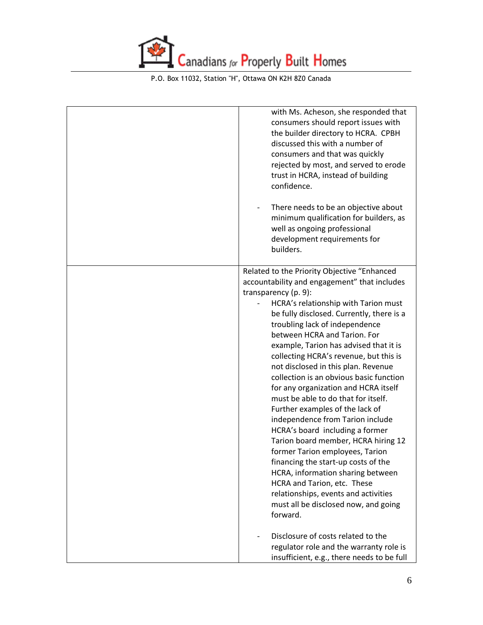

| with Ms. Acheson, she responded that<br>consumers should report issues with<br>the builder directory to HCRA. CPBH<br>discussed this with a number of<br>consumers and that was quickly<br>rejected by most, and served to erode<br>trust in HCRA, instead of building<br>confidence.<br>There needs to be an objective about                                                                                                                                                                                                                                                                                                                                                                                                                                                                                                                                                                                                                                                                                                           |
|-----------------------------------------------------------------------------------------------------------------------------------------------------------------------------------------------------------------------------------------------------------------------------------------------------------------------------------------------------------------------------------------------------------------------------------------------------------------------------------------------------------------------------------------------------------------------------------------------------------------------------------------------------------------------------------------------------------------------------------------------------------------------------------------------------------------------------------------------------------------------------------------------------------------------------------------------------------------------------------------------------------------------------------------|
| minimum qualification for builders, as<br>well as ongoing professional<br>development requirements for<br>builders.                                                                                                                                                                                                                                                                                                                                                                                                                                                                                                                                                                                                                                                                                                                                                                                                                                                                                                                     |
| Related to the Priority Objective "Enhanced<br>accountability and engagement" that includes<br>transparency (p. 9):<br>HCRA's relationship with Tarion must<br>$\overline{\phantom{0}}$<br>be fully disclosed. Currently, there is a<br>troubling lack of independence<br>between HCRA and Tarion. For<br>example, Tarion has advised that it is<br>collecting HCRA's revenue, but this is<br>not disclosed in this plan. Revenue<br>collection is an obvious basic function<br>for any organization and HCRA itself<br>must be able to do that for itself.<br>Further examples of the lack of<br>independence from Tarion include<br>HCRA's board including a former<br>Tarion board member, HCRA hiring 12<br>former Tarion employees, Tarion<br>financing the start-up costs of the<br>HCRA, information sharing between<br>HCRA and Tarion, etc. These<br>relationships, events and activities<br>must all be disclosed now, and going<br>forward.<br>Disclosure of costs related to the<br>regulator role and the warranty role is |
| insufficient, e.g., there needs to be full                                                                                                                                                                                                                                                                                                                                                                                                                                                                                                                                                                                                                                                                                                                                                                                                                                                                                                                                                                                              |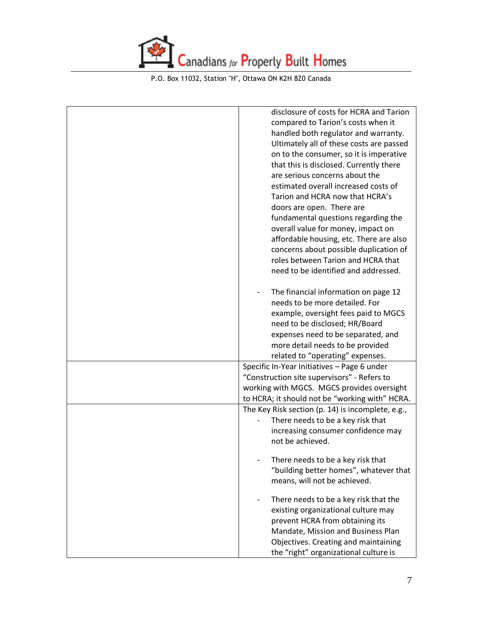

| disclosure of costs for HCRA and Tarion                                      |
|------------------------------------------------------------------------------|
| compared to Tarion's costs when it                                           |
| handled both regulator and warranty.                                         |
| Ultimately all of these costs are passed                                     |
| on to the consumer, so it is imperative                                      |
| that this is disclosed. Currently there                                      |
| are serious concerns about the                                               |
| estimated overall increased costs of                                         |
| Tarion and HCRA now that HCRA's                                              |
| doors are open. There are                                                    |
| fundamental questions regarding the                                          |
| overall value for money, impact on                                           |
|                                                                              |
| affordable housing, etc. There are also                                      |
| concerns about possible duplication of<br>roles between Tarion and HCRA that |
|                                                                              |
| need to be identified and addressed.                                         |
| The financial information on page 12                                         |
| needs to be more detailed. For                                               |
| example, oversight fees paid to MGCS                                         |
| need to be disclosed; HR/Board                                               |
| expenses need to be separated, and                                           |
| more detail needs to be provided                                             |
| related to "operating" expenses.                                             |
| Specific In-Year Initiatives - Page 6 under                                  |
| "Construction site supervisors" - Refers to                                  |
| working with MGCS. MGCS provides oversight                                   |
| to HCRA; it should not be "working with" HCRA.                               |
| The Key Risk section (p. 14) is incomplete, e.g.,                            |
| There needs to be a key risk that                                            |
| increasing consumer confidence may                                           |
| not be achieved.                                                             |
|                                                                              |
| There needs to be a key risk that                                            |
| "building better homes", whatever that                                       |
| means, will not be achieved.                                                 |
|                                                                              |
| There needs to be a key risk that the                                        |
| existing organizational culture may                                          |
| prevent HCRA from obtaining its                                              |
| Mandate, Mission and Business Plan                                           |
| Objectives. Creating and maintaining                                         |
| the "right" organizational culture is                                        |